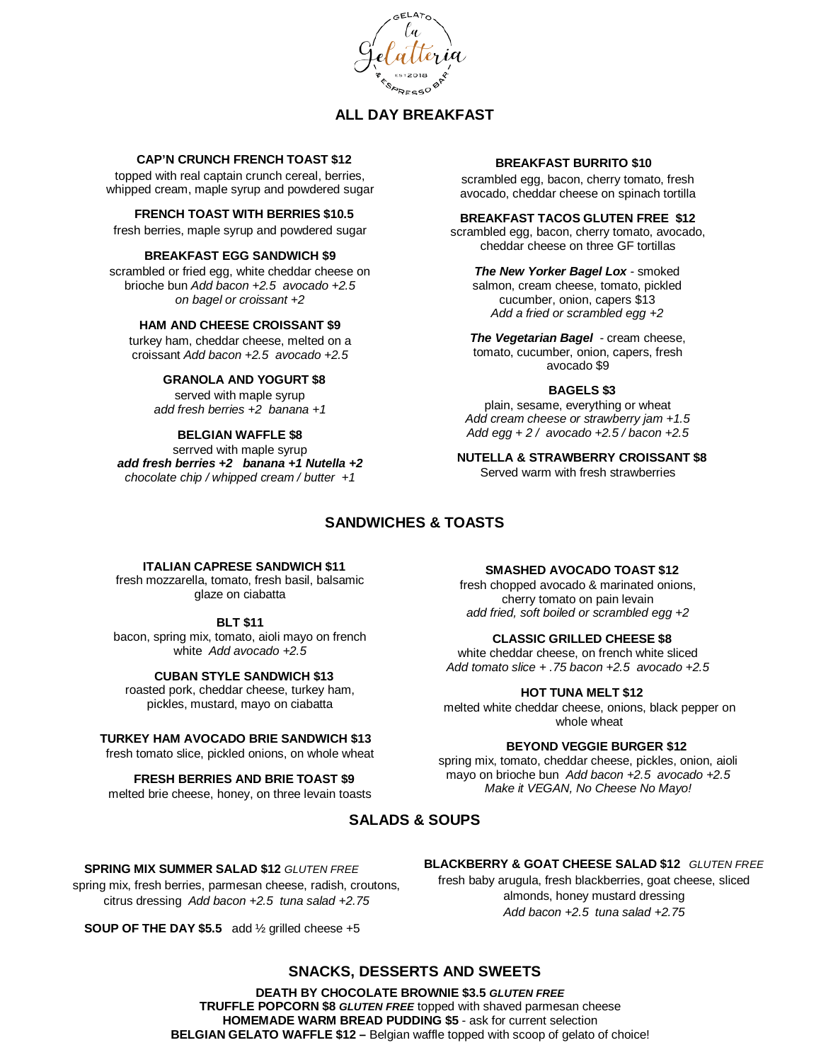

# **ALL DAY BREAKFAST**

## **CAP'N CRUNCH FRENCH TOAST \$12**

topped with real captain crunch cereal, berries, whipped cream, maple syrup and powdered sugar

## **FRENCH TOAST WITH BERRIES \$10.5**

fresh berries, maple syrup and powdered sugar

#### **BREAKFAST EGG SANDWICH \$9**

scrambled or fried egg, white cheddar cheese on brioche bun *Add bacon +2.5 avocado +2.5 on bagel or croissant +2*

## **HAM AND CHEESE CROISSANT \$9**

turkey ham, cheddar cheese, melted on a croissant *Add bacon +2.5 avocado +2.5*

### **GRANOLA AND YOGURT \$8**

served with maple syrup *add fresh berries +2 banana +1*

### **BELGIAN WAFFLE \$8**

serrved with maple syrup *add fresh berries +2 banana +1 Nutella +2 chocolate chip / whipped cream / butter +1* 

#### **BREAKFAST BURRITO \$10**

scrambled egg, bacon, cherry tomato, fresh avocado, cheddar cheese on spinach tortilla

#### **BREAKFAST TACOS GLUTEN FREE \$12**

scrambled egg, bacon, cherry tomato, avocado, cheddar cheese on three GF tortillas

*The New Yorker Bagel Lox -* smoked salmon, cream cheese, tomato, pickled cucumber, onion, capers \$13 *Add a fried or scrambled egg +2*

*The Vegetarian Bagel -* cream cheese, tomato, cucumber, onion, capers, fresh avocado \$9

#### **BAGELS \$3**

plain, sesame, everything or wheat *Add cream cheese or strawberry jam +1.5 Add egg + 2 / avocado +2.5 / bacon +2.5* 

**NUTELLA & STRAWBERRY CROISSANT \$8** Served warm with fresh strawberries

## **SANDWICHES & TOASTS**

## **ITALIAN CAPRESE SANDWICH \$11**

fresh mozzarella, tomato, fresh basil, balsamic glaze on ciabatta

#### **BLT \$11**

bacon, spring mix, tomato, aioli mayo on french white *Add avocado +2.5*

#### **CUBAN STYLE SANDWICH \$13**

roasted pork, cheddar cheese, turkey ham, pickles, mustard, mayo on ciabatta

## **TURKEY HAM AVOCADO BRIE SANDWICH \$13**

fresh tomato slice, pickled onions, on whole wheat

## **FRESH BERRIES AND BRIE TOAST \$9**

melted brie cheese, honey, on three levain toasts

#### **SMASHED AVOCADO TOAST \$12**

fresh chopped avocado & marinated onions, cherry tomato on pain levain *add fried, soft boiled or scrambled egg +2*

### **CLASSIC GRILLED CHEESE \$8**

white cheddar cheese, on french white sliced *Add tomato slice + .75 bacon +2.5 avocado +2.5*

### **HOT TUNA MELT \$12**

melted white cheddar cheese, onions, black pepper on whole wheat

#### **BEYOND VEGGIE BURGER \$12**

spring mix, tomato, cheddar cheese, pickles, onion, aioli mayo on brioche bun *Add bacon +2.5 avocado +2.5 Make it VEGAN, No Cheese No Mayo!*

# **SALADS & SOUPS**

#### **SPRING MIX SUMMER SALAD \$12** *GLUTEN FREE*

spring mix, fresh berries, parmesan cheese, radish, croutons, citrus dressing *Add bacon +2.5 tuna salad +2.75*

**SOUP OF THE DAY \$5.5** add ½ grilled cheese +5

# **BLACKBERRY & GOAT CHEESE SALAD \$12** *GLUTEN FREE*

fresh baby arugula, fresh blackberries, goat cheese, sliced almonds, honey mustard dressing *Add bacon +2.5 tuna salad +2.75*

## **SNACKS, DESSERTS AND SWEETS**

**DEATH BY CHOCOLATE BROWNIE \$3.5** *GLUTEN FREE*  **TRUFFLE POPCORN \$8** *GLUTEN FREE* topped with shaved parmesan cheese **HOMEMADE WARM BREAD PUDDING \$5** - ask for current selection **BELGIAN GELATO WAFFLE \$12 –** Belgian waffle topped with scoop of gelato of choice!